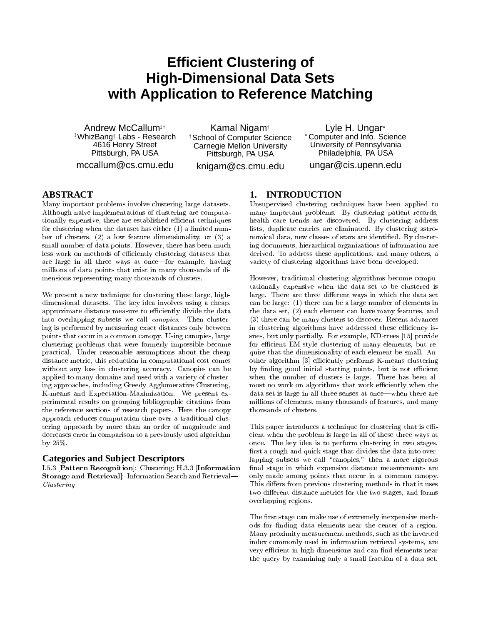# **Efficient Clustering of High-Dimensional Data Sets with Application to Reference Matching**

Andrew McCallum<sup>#†</sup> <sup>z</sup> WhizBang! Labs - Research 4616 Henry Street Pittsburgh, PA USA mccallum@cs.cmu.edu

Kamal Nigam<sup>+</sup> <sup>†</sup> School of Computer Science Carnegie Mellon University Pittsburgh, PA USA

knigam@cs.cmu.edu

Lyle H. Ungar Computer and Info. Science University of Pennsylvania Philadelphia, PA USA ungar@cis.upenn.edu

# **ABSTRACT**

Many important problems involve clustering large datasets. Although naive implementations of clustering are computationally expensive, there are established efficient techniques for clustering when the dataset has either (1) a limited num ber of clusters, (2) a low feature dimensionality, or (3) a small number of data points. However, there has been much less work on methods of efficiently clustering datasets that are large in all three ways at once—for example, having millions of data points that exist in many thousands of dimensions representing many thousands of clusters.

We present a new technique for clustering these large, highdimensional datasets. The key idea involves using a cheap, approximate distance measure to efficiently divide the data into overlapping subsets we call canopies. Then clustering is performed by measuring exact distances only between points that occur in a common canopy. Using canopies, large clustering problems that were formerly impossible become practical. Under reasonable assumptions about the cheap distance metric, this reduction in computational cost comes without any loss in clustering accuracy. Canopies can be applied to many domains and used with a variety of clustering approaches, including Greedy Agglomerative Clustering, K-means and Expectation-Maximization. We present ex perimental results on grouping bibliographic citations from the reference sections of research papers. Here the canopy approach reduces computation time over a traditional clustering approach by more than an order of magnitude and decreases error in comparison to a previously used algorithm by 25%.

## **Categories and Subject Descriptors**

I.5.3 [Pattern Recognition]: Clustering; H.3.3 [Information Storage and Retrieval]: Information Search and Retrieval-Clustering

# **1. INTRODUCTION**

Unsupervised clustering techniques have been applied to many important problems. By clustering patient records, health care trends are discovered. By clustering address lists, duplicate entries are eliminated. By clustering astronomical data, new classes of stars are identied. By clustering documents, hierarchical organizations of information are derived. To address these applications, and many others, a variety of clustering algorithms have been developed.

However, traditional clustering algorithms become computationally expensive when the data set to be clustered is large. There are three different ways in which the data set can be large: (1) there can be a large number of elements in the data set, (2) each element can have many features, and (3) there can be many clusters to discover. Recent advances in clustering algorithms have addressed these efficiency issues, but only partially. For example, KD-trees [15] provide for efficient EM-style clustering of many elements, but require that the dimensionality of each element be small. Another algorithm [3] efficiently performs K-means clustering by finding good initial starting points, but is not efficient when the number of clusters is large. There has been almost no work on algorithms that work efficiently when the data set is large in all three senses at once—when there are millions of elements, many thousands of features, and many thousands of clusters.

This paper introduces a technique for clustering that is efficient when the problem is large in all of these three ways at once. The key idea is to perform clustering in two stages, first a rough and quick stage that divides the data into overlapping subsets we call "canopies," then a more rigorous final stage in which expensive distance measurements are only made among points that occur in a common canopy. This differs from previous clustering methods in that it uses two different distance metrics for the two stages, and forms overlapping regions.

The first stage can make use of extremely inexpensive methods for finding data elements near the center of a region. Many proximity measurement methods, such as the inverted index commonly used in information retrieval systems, are very efficient in high dimensions and can find elements near the query by examining only a small fraction of a data set.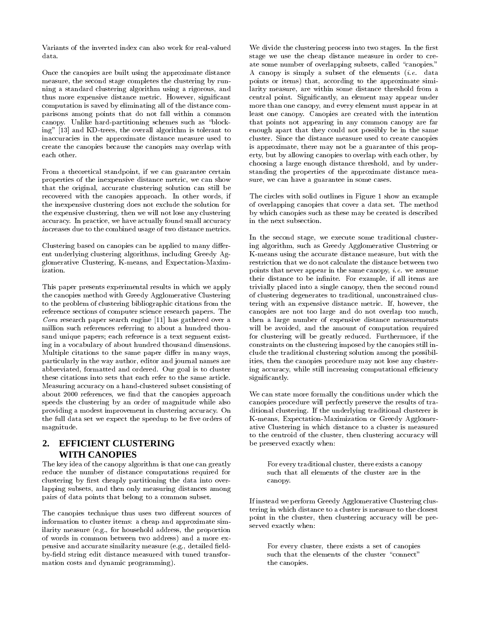Variants of the inverted index can also work for real-valued data.

Once the canopies are built using the approximate distance measure, the second stage completes the clustering by running a standard clustering algorithm using a rigorous, and thus more expensive distance metric. However, signicant computation is saved by eliminating all of the distance comparisons among points that do not fall within a common canopy. Unlike hard-partitioning schemes such as\blocking" [13] and KD-trees, the overall algorithm is tolerant to inaccuracies in the approximate distance measure used to create the canopies because the canopies may overlap with each other

From a theoretical standpoint, if we can guarantee certain properties of the inexpensive distance metric, we can show that the original, accurate clustering solution can still be recovered with the canopies approach. In other words, if the inexpensive clustering does not exclude the solution for the expensive clustering, then we will not lose any clustering accuracy. In practice, we have actually found small accuracy increases due to the combined usage of two distance metrics.

Clustering based on canopies can be applied to many different underlying clustering algorithms, including Greedy Agglomerative Clustering, K-means, and Expectation-Maximization.

This paper presents experimental results in which we apply the canopies method with Greedy Agglomerative Clustering to the problem of clustering bibliographic citations from the reference sections of computer science research papers. The Cora research paper search engine [11] has gathered over a million such references referring to about a hundred thousand unique papers; each reference is a text segment existing in a vocabulary of about hundred thousand dimensions. Multiple citations to the same paper differ in many ways, particularly in the way author, editor and journal names are abbreviated, formatted and ordered. Our goal is to cluster these citations into sets that each refer to the same article. Measuring accuracy on a hand-clustered subset consisting of about 2000 references, we find that the canopies approach speeds the clustering by an order of magnitude while also providing a modest improvement in clustering accuracy. On the full data set we expect the speedup to be five orders of magnitude.

## **2. EFFICIENT CLUSTERING WITH CANOPIES**

The key idea of the canopy algorithm is that one can greatly reduce the number of distance computations required for clustering by first cheaply partitioning the data into overlapping subsets, and then only measuring distances among pairs of data points that belong to a common subset.

The canopies technique thus uses two different sources of information to cluster items: a cheap and approximate similarity measure (e.g., for household address, the proportion of words in common between two address) and a more expensive and accurate similarity measure (e.g., detailed fieldby-field string edit distance measured with tuned transformation costs and dynamic programming).

We divide the clustering process into two stages. In the first stage we use the cheap distance measure in order to cre ate some number of overlapping subsets, called "canopies." A canopy is simply a subset of the elements (*i.e.* data points or items) that, according to the approximate similarity measure, are within some distance threshold from a central point. Signicantly, an element may appear under more than one canopy, and every element must appear in at least one canopy. Canopies are created with the intention that points not appearing in any common canopy are far enough apart that they could not possibly be in the same cluster. Since the distance measure used to create canopies is approximate, there may not be a guarantee of this property, but by allowing canopies to overlap with each other, by choosing a large enough distance threshold, and by understanding the properties of the approximate distance mea sure, we can have a guarantee in some cases.

The circles with solid outlines in Figure 1 show an example of overlapping canopies that cover a data set. The method by which canopies such as these may be created is described in the next subsection.

In the second stage, we execute some traditional clustering algorithm, such as Greedy Agglomerative Clustering or K-means using the accurate distance measure, but with the restriction that we do not calculate the distance between two points that never appear in the same canopy, *i.e.* we assume their distance to be infinite. For example, if all items are trivially placed into a single canopy, then the second round of clustering degenerates to traditional, unconstrained clustering with an expensive distance metric. If, however, the canopies are not too large and do not overlap too much, then a large number of expensive distance measurements will be avoided, and the amount of computation required for clustering will be greatly reduced. Furthermore, if the constraints on the clustering imposed by the canopies still include the traditional clustering solution among the possibilities, then the canopies procedure may not lose any clustering accuracy, while still increasing computational efficiency signicantly.

We can state more formally the conditions under which the canopies procedure will perfectly preserve the results of traditional clustering. If the underlying traditional clusterer is K-means, Expectation-Maximization or Greedy Agglomerative Clustering in which distance to a cluster is measured to the centroid of the cluster, then clustering accuracy will be preserved exactly when:

For every traditional cluster, there exists a canopy such that all elements of the cluster are in the canopy.

If instead we perform Greedy Agglomerative Clustering clustering in which distance to a cluster is measure to the closest point in the cluster, then clustering accuracy will be pre served exactly when:

For every cluster, there exists a set of canopies such that the elements of the cluster "connect" the canopies.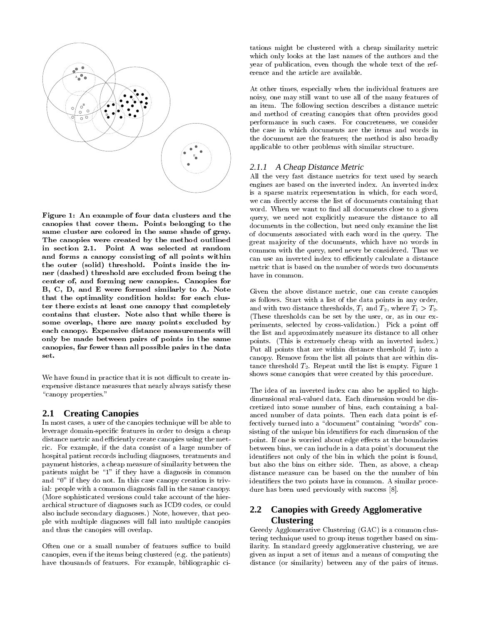

Figure 1: An example of four data clusters and the canopies that cover them. Points belonging to the same cluster are colored in the same shade of gray. The canopies were created by the method outlined in section 2.1. Point A was selected at random and forms a canopy consisting of all points within the outer (solid) threshold. Points inside the inner (dashed) threshold are excluded from being the center of, and forming new canopies. Canopies for B, C, D, and E were formed similarly to A. Note that the optimality condition holds: for each cluster there exists at least one canopy that completely contains that cluster. Note also that while there is some overlap, there are many points excluded by each canopy. Expensive distance measurements will only be made between pairs of points in the same canopies, far fewer than all possible pairs in the data set.

We have found in practice that it is not difficult to create inexpensive distance measures that nearly always satisfy these "canopy properties."

## **2.1 Creating Canopies**

In most cases, a user of the canopies technique will be able to leverage domain-specic features in order to design a cheap distance metric and efficiently create canopies using the metric. For example, if the data consist of a large number of hospital patient records including diagnoses, treatments and payment histories, a cheap measure of similarity between the patients might be \1" if they have a diagnosis in common and " $0$ " if they do not. In this case canopy creation is trivial: people with a common diagnosis fall in the same canopy. (More sophisticated versions could take account of the hier archical structure of diagnoses such as ICD9 codes, or could also include secondary diagnoses.) Note, however, that people with multiple diagnoses will fall into multiple canopies and thus the canopies will overlap.

Often one or a small number of features suffice to build canopies, even if the items being clustered (e.g. the patients) have thousands of features. For example, bibliographic citations might be clustered with a cheap similarity metric which only looks at the last names of the authors and the year of publication, even though the whole text of the reference and the article are available.

At other times, especially when the individual features are noisy, one may still want to use all of the many features of an item. The following section describes a distance metric and method of creating canopies that often provides good performance in such cases. For concreteness, we consider the case in which documents are the items and words in the document are the features; the method is also broadly applicable to other problems with similar structure.

#### *2.1.1 A Cheap Distance Metric*

All the very fast distance metrics for text used by search engines are based on the inverted index. An inverted index is a sparse matrix representation in which, for each word, we can directly access the list of documents containing that word. When we want to find all documents close to a given query, we need not explicitly measure the distance to all documents in the collection, but need only examine the list of documents associated with each word in the query. The great ma jority of the documents, which have no words in common with the query, need never be considered. Thus we can use an inverted index to efficiently calculate a distance metric that is based on the number of words two documents have in common.

Given the above distance metric, one can create canopies as follows. Start with a list of the data points in any order, and with two distance thresholds,  $T_1$  and  $T_2$ , where  $T_1 > T_2$ . (These thresholds can be set by the user, or, as in our experiments, selected by cross-validation.) Pick a point o the list and approximately measure its distance to all other points. (This is extremely cheap with an inverted index.) Put all points that are within distance threshold  $T_1$  into a canopy. Remove from the list all points that are within distance threshold  $T_2$ . Repeat until the list is empty. Figure 1 shows some canopies that were created by this procedure.

The idea of an inverted index can also be applied to highdimensional real-valued data. Each dimension would be discretized into some number of bins, each containing a balanced number of data points. Then each data point is effectively turned into a "document" containing "words" consisting of the unique bin identifiers for each dimension of the point. If one is worried about edge effects at the boundaries between bins, we can include in a data point's document the identifiers not only of the bin in which the point is found, but also the bins on either side. Then, as above, a cheap distance measure can be based on the the number of bin identifiers the two points have in common. A similar procedure has been used previously with success [8].

# **2.2 Canopies with Greedy Agglomerative Clustering**

Greedy Agglomerative Clustering (GAC) is a common clustering technique used to group items together based on similarity. In standard greedy agglomerative clustering, we are given as input a set of items and a means of computing the distance (or similarity) between any of the pairs of items.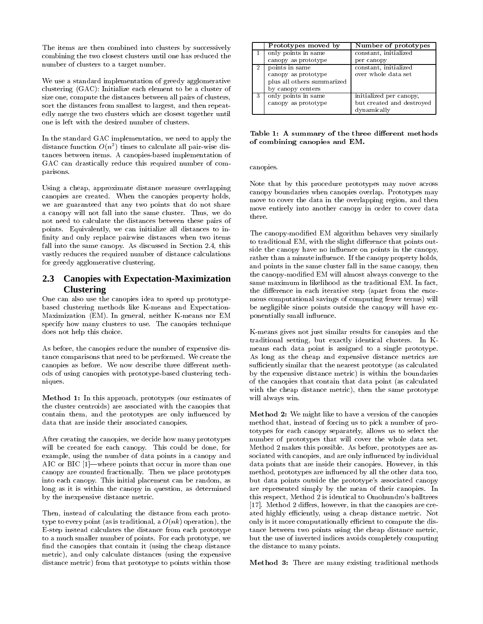The items are then combined into clusters by successively combining the two closest clusters until one has reduced the number of clusters to a target number.

We use a standard implementation of greedy agglomerative clustering (GAC): Initialize each element to be a cluster of size one, compute the distances between all pairs of clusters, sort the distances from smallest to largest, and then repeatedly merge the two clusters which are closest together until one is left with the desired number of clusters.

In the standard GAC implementation, we need to apply the distance function  $O(n^-)$  times to calculate all pair-wise distances between items. A canopies-based implementation of GAC can drastically reduce this required number of com parisons parisons.

Using a cheap, approximate distance measure overlapping canopies are created. When the canopies property holds, we are guaranteed that any two points that do not share a canopy will not fall into the same cluster. Thus, we do there not need to calculate the distances between these pairs of points. Equivalently, we can initialize all distances to in finity and only replace pairwise distances when two items fall into the same canopy. As discussed in Section 2.4, this vastly reduces the required number of distance calculations for greedy agglomerative clustering.

# **2.3 Canopies with Expectation-Maximization Clustering**

One can also use the canopies idea to speed up prototypebased clustering methods like K-means and Expectation-Maximization (EM). In general, neither K-means nor EM specify how many clusters to use. The canopies technique does not help this choice.

As before, the canopies reduce the number of expensive distance comparisons that need to be performed. We create the canopies as before. We now describe three different methods of using canopies with prototype-based clustering techniques.

Method 1: In this approach, prototypes (our estimates of the cluster centroids) are associated with the canopies that contain them, and the prototypes are only in
uenced by data that are inside their associated canopies.

After creating the canopies, we decide how many prototypes will be created for each canopy. This could be done, for example, using the number of data points in a canopy and AIC or BIC [1]-where points that occur in more than one canopy are counted fractionally. Then we place prototypes into each canopy. This initial placement can be random, as long as it is within the canopy in question, as determined by the inexpensive distance metric.

Then, instead of calculating the distance from each prototype to every point (as is traditional, a  $O(nk)$  operation), the E-step instead calculates the distance from each prototype to a much smaller number of points. For each prototype, we find the canopies that contain it (using the cheap distance metric), and only calculate distances (using the expensive distance metric) from that prototype to points within those

|                | Prototypes moved by        | Number of prototypes      |
|----------------|----------------------------|---------------------------|
|                | only points in same        | constant, initialized     |
|                | canopy as prototype        | per canopy                |
| $\overline{2}$ | points in same             | constant, initialized     |
|                | canopy as prototype        | over whole data set       |
|                | plus all others summarized |                           |
|                | by canopy centers          |                           |
| 3              | only points in same        | initialized per canopy,   |
|                | canopy as prototype        | but created and destroyed |
|                |                            | dynamically               |

Table 1: A summary of the three different methods of combining canopies and EM.

canopies.

Note that by this procedure prototypes may move across canopy boundaries when canopies overlap. Prototypes may move to cover the data in the overlapping region, and then move entirely into another canopy in order to cover data

The canopy-modied EM algorithm behaves very similarly to traditional EM, with the slight difference that points outside the canopy have no influence on points in the canopy, rather than a minute influence. If the canopy property holds, and points in the same cluster fall in the same canopy, then the canopy-modied EM will almost always converge to the same maximum in likelihood as the traditional EM. In fact, the difference in each iterative step (apart from the enormous computational savings of computing fewer terms) will be negligible since points outside the canopy will have ex ponentially small in
uence.

K-means gives not just similar results for canopies and the traditional setting, but exactly identical clusters. In K-means each data point is assigned to a single prototype. As long as the cheap and expensive distance metrics are sufficiently similar that the nearest prototype (as calculated by the expensive distance metric) is within the boundaries of the canopies that contain that data point (as calculated with the cheap distance metric), then the same prototype will always win.

Method 2: We might like to have a version of the canopies method that, instead of forcing us to pick a number of prototypes for each canopy separately, allows us to select the number of prototypes that will cover the whole data set. Method 2 makes this possible. As before, prototypes are associated with canopies, and are only influenced by individual data points that are inside their canopies. However, in this method, prototypes are in
uenced by all the other data too, but data points outside the prototype's associated canopy are represented simply by the mean of their canopies. In this respect, Method 2 is identical to Omohundro's balltrees  $[17]$ . Method 2 differs, however, in that the canopies are created highly efficiently, using a cheap distance metric. Not only is it more computationally efficient to compute the distance between two points using the cheap distance metric, but the use of inverted indices avoids completely computing the distance to many points.

Method 3: There are many existing traditional methods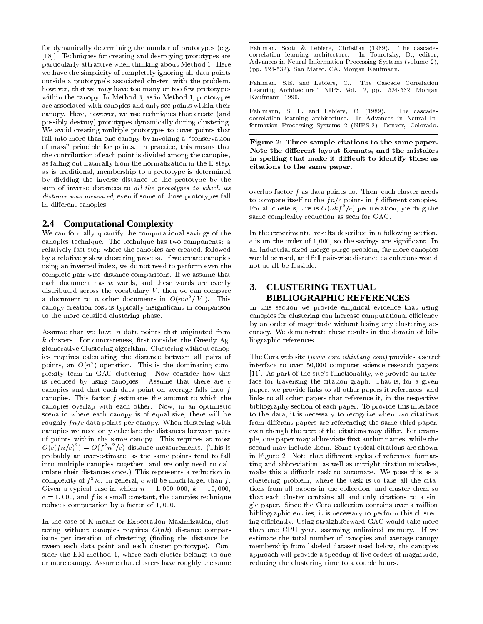for dynamically determining the number of prototypes (e.g. [18]). Techniques for creating and destroying prototypes are particularly attractive when thinking about Method 1. Here we have the simplicity of completely ignoring all data points outside a prototype's associated cluster, with the problem, however, that we may have too many or too few prototypes within the canopy. In Method 3, as in Method 1, prototypes are associated with canopies and only see points within their canopy. Here, however, we use techniques that create (and possibly destroy) prototypes dynamically during clustering. We avoid creating multiple prototypes to cover points that fall into more than one canopy by invoking a "conservation of mass" principle for points. In practice, this means that the contribution of each point is divided among the canopies, as falling out naturally from the normalization in the E-step: as is traditional, membership to a prototype is determined by dividing the inverse distance to the prototype by the sum of inverse distances to all the prototypes to which its distance was measured, even if some of those prototypes fall in different canopies.

## **2.4 Computational Complexity**

We can formally quantify the computational savings of the canopies technique. The technique has two components: a relatively fast step where the canopies are created, followed by a relatively slow clustering process. If we create canopies using an inverted index, we do not need to perform even the complete pair-wise distance comparisons. If we assume that each document has  $w$  words, and these words are evenly  $\mathcal{E}_{\text{total}}$ distributed across the vocabulary  $V$ , then we can compare a document to *n* other documents in  $O(nw^2/|V|)$ . This canopy creation cost is typically insignicant in comparison to the more detailed clustering phase.

Assume that we have  $n$  data points that originated from  $k$  clusters. For concreteness, first consider the Greedy  $Ag$ glomerative Clustering algorithm. Clustering without canopies requires calculating the distance between all pairs of points, an  $O(n$  ) operation. This is the dominating complexity term in GAC clustering. Now consider how this is reduced by using canopies. Assume that there are  $c$ canopies and that each data point on average falls into <sup>f</sup> canopies. This factor  $f$  estimates the amount to which the canopies overlap with each other. Now, in an optimistic scenario where each canopy is of equal size, there will be roughly  $fn/c$  data points per canopy. When clustering with canopies we need only calculate the distances between pairs of points within the same canopy. This requires at most  $O(c(Tn/c)^{-}) = O(T^{-}n^{-}/c)$  distance measurements. (This is set probably an over-estimate, as the same points tend to fall into multiple canopies together, and we only need to calculate their distances once.) This represents a reduction in complexity of  $f^-(c)$ . In general, c will be much larger than  $f$  . The co Given a typical case in which  $n = 1,000,000, k = 10,000,$  $c = 1,000$ , and f is a small constant, the canopies technique reduces computation by a factor of 1; 000.

In the case of K-means or Expectation-Maximization, clustering without canopies requires  $O(nk)$  distance comparisons per iteration of clustering (finding the distance between each data point and each cluster prototype). Consider the EM method 1, where each cluster belongs to one or more canopy. Assume that clusters have roughly the same Fahlman, Scott & Lebiere, Christian (1989). The cascadecorrelation learning architecture. In Touretzky, D., editor, Advances in Neural Information Processing Systems (volume 2), (pp. 524-532), San Mateo, CA. Morgan Kaufmann.

Fahlman, S.E. and Lebiere, C., \The Cascade Correlation Learning Architecture," NIPS, Vol. 2, pp. 524-532, Morgan Kaufmann, 1990.

Fahlmann, S. E. and Lebiere, C. (1989). The cascadecorrelation learning architecture. In Advances in Neural Information Processing Systems 2 (NIPS-2), Denver, Colorado.

Figure 2: Three sample citations to the same paper. Note the different layout formats, and the mistakes in spelling that make it difficult to identify these as citations to the same paper.

overlap factor <sup>f</sup> as data points do. Then, each cluster needs to compare itself to the  $fn/c$  points in f different canopies. For all clusters, this is  $O(nkf^2/c)$  per iteration, yielding the same complexity reduction as seen for GAC.

In the experimental results described in a following section,  $c$  is on the order of 1,000, so the savings are significant. In an industrial sized merge-purge problem, far more canopies would be used, and full pair-wise distance calculations would not at all be feasible.

## **3. CLUSTERING TEXTUAL BIBLIOGRAPHIC REFERENCES**

In this section we provide empirical evidence that using canopies for clustering can increase computational efficiency by an order of magnitude without losing any clustering accuracy. We demonstrate these results in the domain of bibliographic references.

The Cora web site (www.cora.whizbang.com) provides a search interface to over 50,000 computer science research papers [11]. As part of the site's functionality, we provide an interface for traversing the citation graph. That is, for a given paper, we provide links to all other papers it references, and links to all other papers that reference it, in the respective bibliography section of each paper. To provide this interface to the data, it is necessary to recognize when two citations from different papers are referencing the same third paper, even though the text of the citations may differ. For example, one paper may abbreviate first author names, while the second may include them. Some typical citations are shown in Figure 2. Note that different styles of reference formatting and abbreviation, as well as outright citation mistakes, make this a difficult task to automate. We pose this as a clustering problem, where the task is to take all the citations from all papers in the collection, and cluster them so that each cluster contains all and only citations to a single paper. Since the Cora collection contains over a million bibliographic entries, it is necessary to perform this clustering efficiently. Using straightforward GAC would take more than one CPU year, assuming unlimited memory. If we estimate the total number of canopies and average canopy membership from labeled dataset used below, the canopies approach will provide a speedup of five orders of magnitude, reducing the clustering time to a couple hours.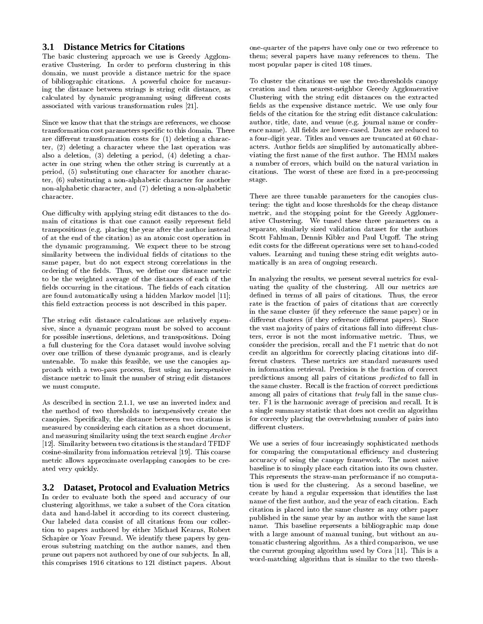## **3.1 Distance Metrics for Citations**

The basic clustering approach we use is Greedy Agglomerative Clustering. In order to perform clustering in this domain, we must provide a distance metric for the space of bibliographic citations. A powerful choice for measuring the distance between strings is string edit distance, as calculated by dynamic programming using different costs associated with various transformation rules [21].

Since we know that that the strings are references, we choose transformation cost parameters specic to this domain. There are different transformation costs for  $(1)$  deleting a character, (2) deleting a character where the last operation was also a deletion, (3) deleting a period, (4) deleting a character in one string when the other string is currently at a period, (5) substituting one character for another character, (6) substituting a non-alphabetic character for another non-alphabetic character, and (7) deleting a non-alphabetic character.

One difficulty with applying string edit distances to the domain of citations is that one cannot easily represent field transpositions (e.g. placing the year after the author instead of at the end of the citation) as an atomic cost operation in the dynamic programming. We expect there to be strong similarity between the individual fields of citations to the same paper, but do not expect strong correlations in the ordering of the fields. Thus, we define our distance metric to be the weighted average of the distances of each of the fields occurring in the citations. The fields of each citation are found automatically using a hidden Markov model [11]; this field extraction process is not described in this paper.

The string edit distance calculations are relatively expensive, since a dynamic program must be solved to account for possible insertions, deletions, and transpositions. Doing a full clustering for the Cora dataset would involve solving over one trillion of these dynamic programs, and is clearly untenable. To make this feasible, we use the canopies approach with a two-pass process, first using an inexpensive distance metric to limit the number of string edit distances we must compute.

As described in section 2.1.1, we use an inverted index and the method of two thresholds to inexpensively create the canopies. Specically, the distance between two citations is measured by considering each citation as a short document, and measuring similarity using the text search engine Archer [12]. Similarity between two citations is the standard TFIDF cosine-similarity from information retrieval [19]. This coarse metric allows approximate overlapping canopies to be created very quickly.

## **3.2 Dataset, Protocol and Evaluation Metrics**

In order to evaluate both the speed and accuracy of our clustering algorithms, we take a subset of the Cora citation data and hand-label it according to its correct clustering. Our labeled data consist of all citations from our collection to papers authored by either Michael Kearns, Robert Schapire or Yoav Freund. We identify these papers by gen erous substring matching on the author names, and then prune out papers not authored by one of our sub jects. In all, this comprises 1916 citations to 121 distinct papers. About one-quarter of the papers have only one or two reference to them; several papers have many references to them. The most popular paper is cited 108 times.

To cluster the citations we use the two-thresholds canopy creation and then nearest-neighbor Greedy Agglomerative Clustering with the string edit distances on the extracted fields as the expensive distance metric. We use only four fields of the citation for the string edit distance calculation: author, title, date, and venue (e.g. journal name or conference name). All fields are lower-cased. Dates are reduced to a four-digit year. Titles and venues are truncated at 60 characters. Author fields are simplified by automatically abbreviating the first name of the first author. The HMM makes a number of errors, which build on the natural variation in citations. The worst of these are fixed in a pre-processing stage. stage.

There are three tunable parameters for the canopies clustering: the tight and loose thresholds for the cheap distance metric, and the stopping point for the Greedy Agglomerative Clustering. We tuned these three parameters on a separate, similarly sized validation dataset for the authors Scott Fahlman, Dennis Kibler and Paul Utgoff. The string edit costs for the different operations were set to hand-coded values. Learning and tuning these string edit weights automatically is an area of ongoing research.

In analyzing the results, we present several metrics for evaluating the quality of the clustering. All our metrics are defined in terms of all pairs of citations. Thus, the error rate is the fraction of pairs of citations that are correctly in the same cluster (if they reference the same paper) or in different clusters (if they reference different papers). Since the vast majority of pairs of citations fall into different clusters, error is not the most informative metric. Thus, we consider the precision, recall and the F1 metric that do not credit an algorithm for correctly placing citations into different clusters. These metrics are standard measures used in information retrieval. Precision is the fraction of correct predictions among all pairs of citations predicted to fall in the same cluster. Recall is the fraction of correct predictions among all pairs of citations that truly fall in the same cluster. F1 is the harmonic average of precision and recall. It is a single summary statistic that does not credit an algorithm for correctly placing the overwhelming number of pairs into different clusters.

We use a series of four increasingly sophisticated methods for comparing the computational efficiency and clustering accuracy of using the canopy framework. The most naive baseline is to simply place each citation into its own cluster. This represents the straw-man performance if no computation is used for the clustering. As a second baseline, we create by hand a regular expression that identifies the last name of the first author, and the year of each citation. Each citation is placed into the same cluster as any other paper published in the same year by an author with the same last name. This baseline represents a bibliographic map done with a large amount of manual tuning, but without an automatic clustering algorithm. As a third comparison, we use the current grouping algorithm used by Cora [11]. This is a word-matching algorithm that is similar to the two thresh-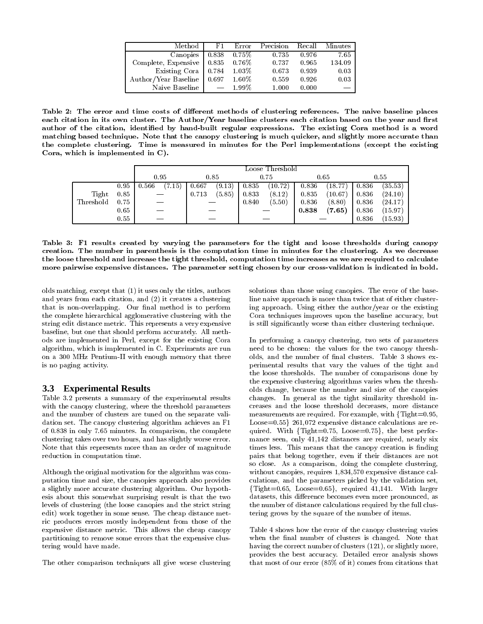| Method 1                                                           | F1 Error | Precision Recall                                                 |             | Minutes |
|--------------------------------------------------------------------|----------|------------------------------------------------------------------|-------------|---------|
|                                                                    |          | Canopies $\begin{array}{ccc} 0.838 & 0.75\% & 0.735 \end{array}$ | 0.976       | 7.65    |
| Complete, Expensive $\begin{array}{ l} 0.835 & 0.76\% \end{array}$ |          | 0.737                                                            | $\,0.965\,$ | 134.09  |
| Existing Cora $\vert$ 0.784 1.03%                                  |          | 0.673                                                            | 0.939       | 0.03    |
| Author/Year Baseline $\vert 0.697 \vert 1.60\% \vert$              |          | 0.559                                                            | 0.926       | 0.03    |
| Naive Baseline $\vert$ $-$ 1.99%                                   |          | 1.000                                                            | 0.000       |         |

Table 2: The error and time costs of different methods of clustering references. The naive baseline places each citation in its own cluster. The Author/Year baseline clusters each citation based on the year and first author of the citation, identied by hand-built regular expressions. The existing Cora method is a word matching based technique. Note that the canopy clustering is much quicker, and slightly more accurate than the complete clustering. Time is measured in minutes for the Perl implementations (except the existing Cora, which is implemented in C).

|           |      |                               |                 | Loose Threshold  |                               |                  |
|-----------|------|-------------------------------|-----------------|------------------|-------------------------------|------------------|
|           |      | 0.95                          | 0.85            | 0.75             | 0.65                          | 0.55             |
|           | 0.95 | $\left( 7.15\right)$<br>0.566 | (9.13)<br>0.667 | (10.72)<br>0.835 | 18.77)<br>0.836               | (35.53)<br>0.836 |
| Tight     | 0.85 |                               | (5.85)<br>0.713 | (8.12)<br>0.833  | (10.67)<br>0.835              | 0.836<br>(24.10) |
| Threshold | 0.75 |                               |                 | (5.50)<br>0.840  | (8.80)<br>0.836               | (24.17)<br>0.836 |
|           | 0.65 |                               |                 |                  | $\left( 7.65\right)$<br>0.838 | (15.97)<br>0.836 |
|           | 0.55 |                               |                 |                  |                               | (15.93)<br>0.836 |

Table 3: F1 results created by varying the parameters for the tight and loose thresholds during canopy creation. The number in parenthesis is the computation time in minutes for the clustering. As we decrease the loose threshold and increase the tight threshold, computation time increases as we are required to calculate more pairwise expensive distances. The parameter setting chosen by our cross-validation is indicated in bold.

olds matching, except that (1) it uses only the titles, authors and years from each citation, and (2) it creates a clustering that is non-overlapping. Our final method is to perform the complete hierarchical agglomerative clustering with the string edit distance metric. This represents a very expensive baseline, but one that should perform accurately. All methods are implemented in Perl, except for the existing Cora algorithm, which is implemented in C. Experiments are run on a 300 MHz Pentium-II with enough memory that there is no paging activity.

#### **3.3 Experimental Results**

Table 3.2 presents a summary of the experimental results with the canopy clustering, where the threshold parameters and the number of clusters are tuned on the separate validation set. The canopy clustering algorithm achieves an F1 of 0.838 in only 7.65 minutes. In comparison, the complete clustering takes over two hours, and has slightly worse error. Note that this represents more than an order of magnitude reduction in computation time.

Although the original motivation for the algorithm was com putation time and size, the canopies approach also provides a slightly more accurate clustering algorithm. Our hypothesis about this somewhat surprising result is that the two levels of clustering (the loose canopies and the strict string edit) work together in some sense. The cheap distance metric produces errors mostly independent from those of the expensive distance metric. This allows the cheap canopy partitioning to remove some errors that the expensive clustering would have made.

The other comparison techniques all give worse clustering

solutions than those using canopies. The error of the baseline naive approach is more than twice that of either clustering approach. Using either the author/year or the existing Cora techniques improves upon the baseline accuracy, but is still signicantly worse than either clustering technique.

In performing a canopy clustering, two sets of parameters need to be chosen: the values for the two canopy thresholds, and the number of final clusters. Table 3 shows experimental results that vary the values of the tight and the loose thresholds. The number of comparisons done by the expensive clustering algorithms varies when the thresholds change, because the number and size of the canopies changes. In general as the tight similarity threshold in creases and the loose threshold decreases, more distance measurements are required. For example, with  ${Tight=0.95}$ , Loose=0.55} 261,072 expensive distance calculations are required. With  $\{Tight=0.75, Loose=0.75\}$ , the best performance seen, only 41,142 distances are required, nearly six times less. This means that the canopy creation is finding pairs that belong together, even if their distances are not so close. As a comparison, doing the complete clustering, without canopies, requires 1,834,570 expensive distance calculations, and the parameters picked by the validation set,  $\{Tight=0.65, Loose=0.65\}$ , required 41,141. With larger datasets, this difference becomes even more pronounced, as the number of distance calculations required by the full clustering grows by the square of the number of items.

Table 4 shows how the error of the canopy clustering varies when the final number of clusters is changed. Note that having the correct number of clusters  $(121)$ , or slightly more, provides the best accuracy. Detailed error analysis shows that most of our error (85% of it) comes from citations that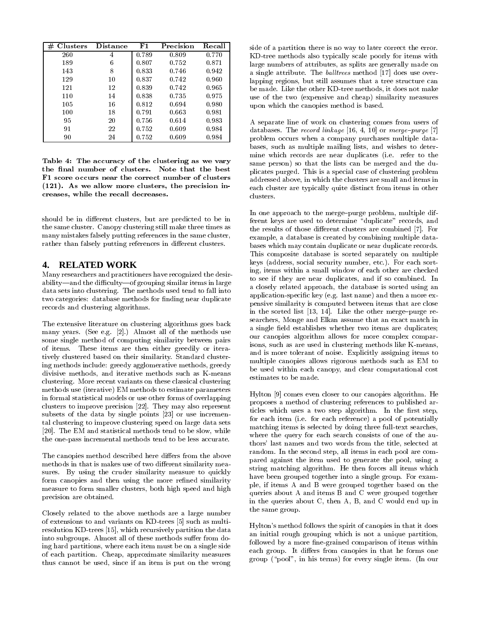| <b>Clusters</b><br># | <b>Distance</b> | $_{\rm F1}$ | Precision | Recall |
|----------------------|-----------------|-------------|-----------|--------|
| 260                  | 4               | 0.789       | 0.809     | 0.770  |
| 189                  | 6               | 0.807       | 0.752     | 0.871  |
| 143                  | 8               | 0.833       | 0.746     | 0.942  |
| 129                  | 10              | 0.837       | 0.742     | 0.960  |
| 121                  | 12              | 0.839       | 0.742     | 0.965  |
| 110                  | 14              | 0.838       | 0.735     | 0.975  |
| 105                  | 16              | 0.812       | 0.694     | 0.980  |
| 100                  | 18              | 0.791       | 0.663     | 0.981  |
| 95                   | 20              | 0.756       | 0.614     | 0.983  |
| 91                   | 22              | 0.752       | 0.609     | 0.984  |
| 90                   | 24              | 0.752       | 0.609     | 0.984  |

Table 4: The accuracy of the clustering as we vary the final number of clusters. Note that the best F1 score occurs near the correct number of clusters (121). As we allow more clusters, the precision increases, while the recall decreases.

should be in different clusters, but are predicted to be in the same cluster. Canopy clustering still make three times as many mistakes falsely putting references in the same cluster, rather than falsely putting references in different clusters.

#### **4. RELATED WORK**

Many researchers and practitioners have recognized the desirability—and the difficulty—of grouping similar items in large data sets into clustering. The methods used tend to fall into two categories: database methods for finding near duplicate records and clustering algorithms.

The extensive literature on clustering algorithms goes back many years. (See e.g. [2].) Almost all of the methods use some single method of computing similarity between pairs of items. These items are then either greedily or iteratively clustered based on their similarity. Standard clustering methods include: greedy agglomerative methods, greedy divisive methods, and iterative methods such as K-means clustering. More recent variants on these classical clustering methods use (iterative) EM methods to estimate parameters in formal statistical models or use other forms of overlapping clusters to improve precision [22]. They may also represent subsets of the data by single points [23] or use incremental clustering to improve clustering speed on large data sets [20]. The EM and statistical methods tend to be slow, while the one-pass incremental methods tend to be less accurate.

The canopies method described here differs from the above methods in that is makes use of two different similarity measures. By using the cruder similarity measure to quickly form canopies and then using the more refined similarity measure to form smaller clusters, both high speed and high precision are obtained.

Closely related to the above methods are a large number of extensions to and variants on KD-trees [5] such as multiresolution KD-trees [15], which recursively partition the data into subgroups. Almost all of these methods suffer from doing hard partitions, where each item must be on a single side of each partition. Cheap, approximate similarity measures thus cannot be used, since if an item is put on the wrong

side of a partition there is no way to later correct the error. KD-tree methods also typically scale poorly for items with large numbers of attributes, as splits are generally made on a single attribute. The *balltrees* method [17] does use overlapping regions, but still assumes that a tree structure can be made. Like the other KD-tree methods, it does not make use of the two (expensive and cheap) similarity measures upon which the canopies method is based.

A separate line of work on clustering comes from users of databases. The record linkage  $[16, 4, 10]$  or merge-purge  $[7]$ problem occurs when a company purchases multiple databases, such as multiple mailing lists, and wishes to determine which records are near duplicates (i.e. refer to the same person) so that the lists can be merged and the duplicates purged. This is a special case of clustering problem addressed above, in which the clusters are small and items in each cluster are typically quite distinct from items in other clusters.

In one approach to the merge-purge problem, multiple different keys are used to determine "duplicate" records, and the results of those different clusters are combined [7]. For example, a database is created by combining multiple databases which may contain duplicate or near duplicate records. This composite database is sorted separately on multiple keys (address, social security number, etc.). For each sorting, items within a small window of each other are checked to see if they are near duplicates, and if so combined. In a closely related approach, the database is sorted using an application-specic key (e.g. last name) and then a more expensive similarity is computed between items that are close in the sorted list  $[13, 14]$ . Like the other merge-purge researchers, Monge and Elkan assume that an exact match in a single field establishes whether two items are duplicates; our canopies algorithm allows for more complex comparisons, such as are used in clustering methods like K-means, and is more tolerant of noise. Explicitly assigning items to multiple canopies allows rigorous methods such as EM to be used within each canopy, and clear computational cost estimates to be made.

Hylton [9] comes even closer to our canopies algorithm. He proposes a method of clustering references to published articles which uses a two step algorithm. In the first step, for each item (i.e. for each reference) a pool of potentially matching items is selected by doing three full-text searches, where the query for each search consists of one of the authors' last names and two words from the title, selected at random. In the second step, all items in each pool are compared against the item used to generate the pool, using a string matching algorithm. He then forces all items which have been grouped together into a single group. For exam ple, if items A and B were grouped together based on the queries about A and items B and C were grouped together in the queries about C, then A, B, and C would end up in the same group.

Hylton's method follows the spirit of canopies in that it does an initial rough grouping which is not a unique partition, followed by a more fine-grained comparison of items within each group. It differs from canopies in that he forms one group ("pool", in his terms) for every single item. (In our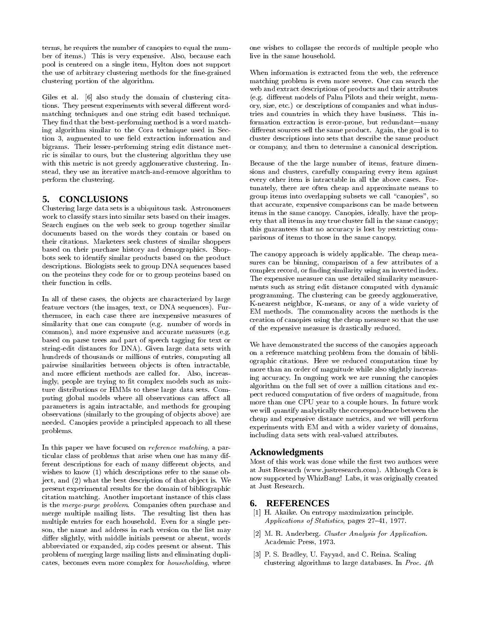terms, he requires the number of canopies to equal the num ber of items.) This is very expensive. Also, because each pool is centered on a single item, Hylton does not support the use of arbitrary clustering methods for the fine-grained clustering portion of the algorithm.

Giles et al. [6] also study the domain of clustering citations. They present experiments with several different wordmatching techniques and one string edit based technique. They find that the best-performing method is a word matching algorithm similar to the Cora technique used in Section 3, augmented to use field extraction information and bigrams. Their lesser-performing string edit distance metric is similar to ours, but the clustering algorithm they use with this metric is not greedy agglomerative clustering. Instead, they use an iterative match-and-remove algorithm to perform the clustering.

## **5. CONCLUSIONS**

Clustering large data sets is a ubiquitous task. Astronomers work to classify stars into similar sets based on their images. Search engines on the web seek to group together similar documents based on the words they contain or based on their citations. Marketers seek clusters of similar shoppers based on their purchase history and demographics. Shopbots seek to identify similar products based on the product descriptions. Biologists seek to group DNA sequences based on the proteins they code for or to group proteins based on their function in cells.

In all of these cases, the ob jects are characterized by large feature vectors (the images, text, or DNA sequences). Fur thermore, in each case there are inexpensive measures of similarity that one can compute (e.g. number of words in common), and more expensive and accurate measures (e.g. based on parse trees and part of speech tagging for text or string-edit distances for DNA). Given large data sets with hundreds of thousands or millions of entries, computing all pairwise similarities between ob jects is often intractable, and more efficient methods are called for. Also, increasingly, people are trying to fit complex models such as mixture distributions or HMMs to these large data sets. Computing global models where all observations can affect all parameters is again intractable, and methods for grouping observations (similarly to the grouping of ob jects above) are needed. Canopies provide a principled approach to all these problems. problems. The contract of the contract of the contract of the contract of the contract of the contract of the contract of the contract of the contract of the contract of the contract of the contract of the contract of the

In this paper we have focused on *reference matching*, a particular class of problems that arise when one has many different descriptions for each of many different objects, and wishes to know (1) which descriptions refer to the same object, and (2) what the best description of that ob ject is. We present experimental results for the domain of bibliographic citation matching. Another important instance of this class is the merge-purge problem. Companies often purchase and merge multiple mailing lists. The resulting list then has multiple entries for each household. Even for a single person, the name and address in each version on the list may differ slightly, with middle initials present or absent, words abbreviated or expanded, zip codes present or absent. This problem of merging large mailing lists and eliminating duplicates, becomes even more complex for householding, where

one wishes to collapse the records of multiple people who live in the same household.

When information is extracted from the web, the reference matching problem is even more severe. One can search the web and extract descriptions of products and their attributes (e.g. different models of Palm Pilots and their weight, memory, size, etc.) or descriptions of companies and what industries and countries in which they have business. This information extraction is error-prone, but redundant-many different sources sell the same product. Again, the goal is to cluster descriptions into sets that describe the same product or company, and then to determine a canonical description.

Because of the the large number of items, feature dimensions and clusters, carefully comparing every item against every other item is intractable in all the above cases. For tunately, there are often cheap and approximate means to group items into overlapping subsets we call "canopies", so that accurate, expensive comparisons can be made between items in the same canopy. Canopies, ideally, have the property that all items in any true cluster fall in the same canopy; this guarantees that no accuracy is lost by restricting comparisons of items to those in the same canopy.

The canopy approach is widely applicable. The cheap mea sures can be binning, comparison of a few attributes of a complex record, or finding similarity using an inverted index. The expensive measure can use detailed similarity measure ments such as string edit distance computed with dynamic programming. The clustering can be greedy agglomerative, K-nearest neighbor, K-means, or any of a wide variety of EM methods. The commonality across the methods is the creation of canopies using the cheap measure so that the use of the expensive measure is drastically reduced.

We have demonstrated the success of the canopies approach on a reference matching problem from the domain of bibliographic citations. Here we reduced computation time by more than an order of magnitude while also slightly increasing accuracy. In ongoing work we are running the canopies algorithm on the full set of over a million citations and expect reduced computation of five orders of magnitude, from more than one CPU year to a couple hours. In future work we will quantify analytically the correspondence between the cheap and expensive distance metrics, and we will perform experiments with EM and with a wider variety of domains, including data sets with real-valued attributes.

#### **Acknowledgments**

Most of this work was done while the first two authors were at Just Research (www.justresearch.com). Although Cora is now supported by WhizBang! Labs, it was originally created at Just Research.

#### **6. REFERENCES**

- [1] H. Akaike. On entropy maximization principle. Applications of Statistics, pages 27-41, 1977.
- [2] M. R. Anderberg. Cluster Analysis for Application. Academic Press, 1973.
- [3] P. S. Bradley, U. Fayyad, and C. Reina. Scaling clustering algorithms to large databases. In Proc. 4th